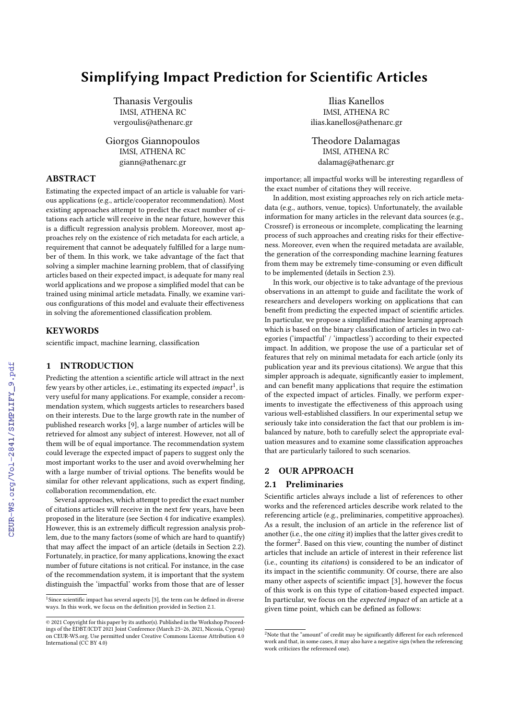# Simplifying Impact Prediction for Scientific Articles

Thanasis Vergoulis IMSI, ATHENA RC vergoulis@athenarc.gr

Giorgos Giannopoulos IMSI, ATHENA RC giann@athenarc.gr

## ABSTRACT

Estimating the expected impact of an article is valuable for various applications (e.g., article/cooperator recommendation). Most existing approaches attempt to predict the exact number of citations each article will receive in the near future, however this is a difficult regression analysis problem. Moreover, most approaches rely on the existence of rich metadata for each article, a requirement that cannot be adequately fulfilled for a large number of them. In this work, we take advantage of the fact that solving a simpler machine learning problem, that of classifying articles based on their expected impact, is adequate for many real world applications and we propose a simplified model that can be trained using minimal article metadata. Finally, we examine various configurations of this model and evaluate their effectiveness in solving the aforementioned classification problem.

## **KEYWORDS**

scientific impact, machine learning, classification

## 1 INTRODUCTION

Predicting the attention a scientific article will attract in the next few years by other articles, i.e., estimating its expected  $\textit{impact}^1$  $\textit{impact}^1$ , is very useful for many applications. For example, consider a recommendation system, which suggests articles to researchers based on their interests. Due to the large growth rate in the number of published research works [\[9\]](#page--1-0), a large number of articles will be retrieved for almost any subject of interest. However, not all of them will be of equal importance. The recommendation system could leverage the expected impact of papers to suggest only the most important works to the user and avoid overwhelming her with a large number of trivial options. The benefits would be similar for other relevant applications, such as expert finding, collaboration recommendation, etc.

Several approaches, which attempt to predict the exact number of citations articles will receive in the next few years, have been proposed in the literature (see Section [4](#page--1-1) for indicative examples). However, this is an extremely difficult regression analysis problem, due to the many factors (some of which are hard to quantify) that may affect the impact of an article (details in Section [2.2\)](#page--1-2). Fortunately, in practice, for many applications, knowing the exact number of future citations is not critical. For instance, in the case of the recommendation system, it is important that the system distinguish the 'impactful' works from those that are of lesser

Ilias Kanellos IMSI, ATHENA RC ilias.kanellos@athenarc.gr

Theodore Dalamagas IMSI, ATHENA RC dalamag@athenarc.gr

importance; all impactful works will be interesting regardless of the exact number of citations they will receive.

In addition, most existing approaches rely on rich article metadata (e.g., authors, venue, topics). Unfortunately, the available information for many articles in the relevant data sources (e.g., Crossref) is erroneous or incomplete, complicating the learning process of such approaches and creating risks for their effectiveness. Moreover, even when the required metadata are available, the generation of the corresponding machine learning features from them may be extremely time-consuming or even difficult to be implemented (details in Section [2.3\)](#page--1-4).

In this work, our objective is to take advantage of the previous observations in an attempt to guide and facilitate the work of researchers and developers working on applications that can benefit from predicting the expected impact of scientific articles. In particular, we propose a simplified machine learning approach which is based on the binary classification of articles in two categories ('impactful' / 'impactless') according to their expected impact. In addition, we propose the use of a particular set of features that rely on minimal metadata for each article (only its publication year and its previous citations). We argue that this simpler approach is adequate, significantly easier to implement, and can benefit many applications that require the estimation of the expected impact of articles. Finally, we perform experiments to investigate the effectiveness of this approach using various well-established classifiers. In our experimental setup we seriously take into consideration the fact that our problem is imbalanced by nature, both to carefully select the appropriate evaluation measures and to examine some classification approaches that are particularly tailored to such scenarios.

## 2 OUR APPROACH

## <span id="page-0-1"></span>2.1 Preliminaries

Scientific articles always include a list of references to other works and the referenced articles describe work related to the referencing article (e.g., preliminaries, competitive approaches). As a result, the inclusion of an article in the reference list of another (i.e., the one citing it) implies that the latter gives credit to the former<sup>[2](#page-0-2)</sup>. Based on this view, counting the number of distinct articles that include an article of interest in their reference list (i.e., counting its citations) is considered to be an indicator of its impact in the scientific community. Of course, there are also many other aspects of scientific impact [\[3\]](#page--1-3), however the focus of this work is on this type of citation-based expected impact. In particular, we focus on the expected impact of an article at a given time point, which can be defined as follows:

<span id="page-0-0"></span><sup>&</sup>lt;sup>1</sup>Since scientific impact has several aspects [\[3\]](#page--1-3), the term can be defined in diverse ways. In this work, we focus on the definition provided in Section [2.1.](#page-0-1)

<sup>©</sup> 2021 Copyright for this paper by its author(s). Published in the Workshop Proceed-ings of the EDBT/ICDT 2021 Joint Conference (March 23–26, 2021, Nicosia, Cyprus) on CEUR-WS.org. Use permitted under Creative Commons License Attribution 4.0 International (CC BY 4.0)

<span id="page-0-2"></span> $2\overline{R}$ Note that the "amount" of credit may be significantly different for each referenced work and that, in some cases, it may also have a negative sign (when the referencing work criticizes the referenced one).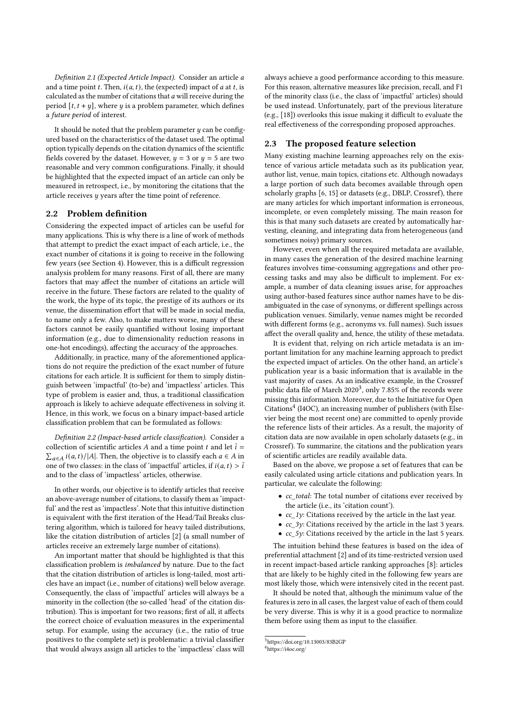Definition 2.1 (Expected Article Impact). Consider an article and a time point t. Then,  $i(a, t)$ , the (expected) impact of a at t, is calculated as the number of citations that  $a$  will receive during the period  $[t, t + y]$ , where  $y$  is a problem parameter, which defines a future period of interest.

It should be noted that the problem parameter  $u$  can be configured based on the characteristics of the dataset used. The optimal option typically depends on the citation dynamics of the scientific fields covered by the dataset. However,  $y = 3$  or  $y = 5$  are two reasonable and very common configurations. Finally, it should be highlighted that the expected impact of an article can only be measured in retrospect, i.e., by monitoring the citations that the article receives y years after the time point of reference.

#### <span id="page-1-3"></span>2.2 Problem definition

Considering the expected impact of articles can be useful for many applications. This is why there is a line of work of methods that attempt to predict the exact impact of each article, i.e., the exact number of citations it is going to receive in the following few years (see Section [4\)](#page-3-0). However, this is a difficult regression analysis problem for many reasons. First of all, there are many factors that may affect the number of citations an article will receive in the future. These factors are related to the quality of the work, the hype of its topic, the prestige of its authors or its venue, the dissemination effort that will be made in social media, to name only a few. Also, to make matters worse, many of these factors cannot be easily quantified without losing important information (e.g., due to dimensionality reduction reasons in one-hot encodings), affecting the accuracy of the approaches.

Additionally, in practice, many of the aforementioned applications do not require the prediction of the exact number of future citations for each article. It is sufficient for them to simply distinguish between 'impactful' (to-be) and 'impactless' articles. This type of problem is easier and, thus, a traditional classification approach is likely to achieve adequate effectiveness in solving it. Hence, in this work, we focus on a binary impact-based article classification problem that can be formulated as follows:

Definition 2.2 (Impact-based article classification). Consider a collection of scientific articles A and a time point t and let  $\bar{i}$  =  $\sum_{a \in A} i(a, t) / |A|$ . Then, the objective is to classify each  $a \in A$  in one of two classes: in the class of 'impactful' articles, if  $i(a, t) > \overline{i}$ and to the class of 'impactless' articles, otherwise.

In other words, our objective is to identify articles that receive an above-average number of citations, to classify them as 'impactful' and the rest as 'impactless'. Note that this intuitive distinction is equivalent with the first iteration of the Head/Tail Breaks clustering algorithm, which is tailored for heavy tailed distributions, like the citation distribution of articles [\[2\]](#page-4-0) (a small number of articles receive an extremely large number of citations).

An important matter that should be highlighted is that this classification problem is imbalanced by nature. Due to the fact that the citation distribution of articles is long-tailed, most articles have an impact (i.e., number of citations) well below average. Consequently, the class of 'impactful' articles will always be a minority in the collection (the so-called 'head' of the citation distribution). This is important for two reasons; first of all, it affects the correct choice of evaluation measures in the experimental setup. For example, using the accuracy (i.e., the ratio of true positives to the complete set) is problematic: a trivial classifier that would always assign all articles to the 'impactless' class will

always achieve a good performance according to this measure. For this reason, alternative measures like precision, recall, and F1 of the minority class (i.e., the class of 'impactful' articles) should be used instead. Unfortunately, part of the previous literature (e.g., [\[18\]](#page-4-1)) overlooks this issue making it difficult to evaluate the real effectiveness of the corresponding proposed approaches.

#### <span id="page-1-2"></span>2.3 The proposed feature selection

Many existing machine learning approaches rely on the existence of various article metadata such as its publication year, author list, venue, main topics, citations etc. Although nowadays a large portion of such data becomes available through open scholarly graphs [\[6,](#page-4-2) [15\]](#page-4-3) or datasets (e.g., DBLP, Crossref), there are many articles for which important information is erroneous, incomplete, or even completely missing. The main reason for this is that many such datasets are created by automatically harvesting, cleaning, and integrating data from heterogeneous (and sometimes noisy) primary sources.

However, even when all the required metadata are available, in many cases the generation of the desired machine learning features involves time-consuming aggregations and other processing tasks and may also be difficult to implement. For example, a number of data cleaning issues arise, for approaches using author-based features since author names have to be disambiguated in the case of synonyms, or different spellings across publication venues. Similarly, venue names might be recorded with different forms (e.g., acronyms vs. full names). Such issues affect the overall quality and, hence, the utility of these metadata.

It is evident that, relying on rich article metadata is an important limitation for any machine learning approach to predict the expected impact of articles. On the other hand, an article's publication year is a basic information that is available in the vast majority of cases. As an indicative example, in the Crossref public data file of March 2020<sup>[3](#page-1-0)</sup>, only 7.85% of the records were missing this information. Moreover, due to the Initiative for Open Citations<sup>[4](#page-1-1)</sup> (I4OC), an increasing number of publishers (with Elsevier being the most recent one) are committed to openly provide the reference lists of their articles. As a result, the majority of citation data are now available in open scholarly datasets (e.g., in Crossref). To summarize, the citations and the publication years of scientific articles are readily available data.

Based on the above, we propose a set of features that can be easily calculated using article citations and publication years. In particular, we calculate the following:

- cc\_total: The total number of citations ever received by the article (i.e., its 'citation count').
- cc\_1y: Citations received by the article in the last year.
- cc\_3y: Citations received by the article in the last 3 years.
- cc\_5y: Citations received by the article in the last 5 years.

The intuition behind these features is based on the idea of preferential attachment [\[2\]](#page-4-0) and of its time-restricted version used in recent impact-based article ranking approaches [\[8\]](#page-4-4): articles that are likely to be highly cited in the following few years are most likely those, which were intensively cited in the recent past.

It should be noted that, although the minimum value of the features is zero in all cases, the largest value of each of them could be very diverse. This is why it is a good practice to normalize them before using them as input to the classifier.

<span id="page-1-0"></span><sup>3</sup><https://doi.org/10.13003/83B2GP>

<span id="page-1-1"></span><sup>4</sup><https://i4oc.org/>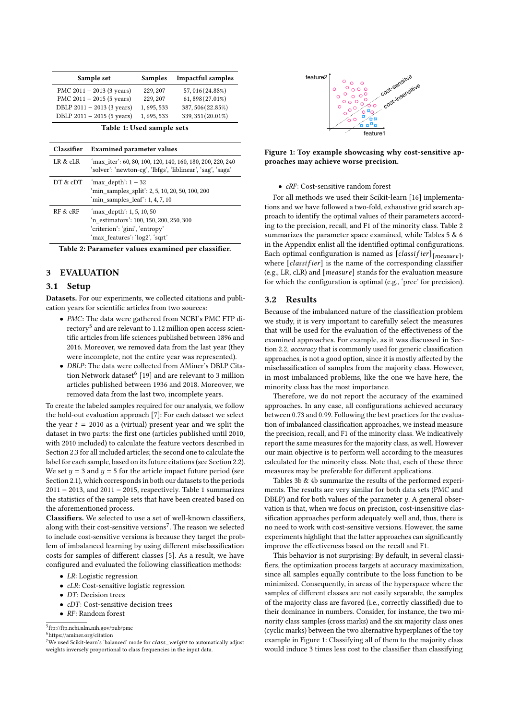<span id="page-2-2"></span>

|                           | Sample set                       | Samples     | <b>Impactful samples</b>                                                                                                 |  |
|---------------------------|----------------------------------|-------------|--------------------------------------------------------------------------------------------------------------------------|--|
|                           | PMC $2011 - 2013$ (3 years)      | 229, 207    | 57,016(24.88%)                                                                                                           |  |
|                           | PMC $2011 - 2015$ (5 years)      | 229, 207    | 61,898(27.01%)                                                                                                           |  |
|                           | DBLP 2011 - 2013 (3 years)       | 1, 695, 533 | 387, 506 (22.85%)                                                                                                        |  |
|                           | DBLP $2011 - 2015$ (5 years)     | 1,695,533   | 339, 351 (20.01%)                                                                                                        |  |
| Table 1: Used sample sets |                                  |             |                                                                                                                          |  |
| <b>Classifier</b>         | <b>Examined parameter values</b> |             |                                                                                                                          |  |
| LR & cLR                  |                                  |             | 'max iter': 60, 80, 100, 120, 140, 160, 180, 200, 220, 240<br>'solver': 'newton-cg', 'lbfgs', 'liblinear', 'sag', 'saga' |  |

<span id="page-2-4"></span>

| DT & cDT | 'max depth': 1 – 32<br>'min_samples_split': 2, 5, 10, 20, 50, 100, 200<br>'min samples $leaf$ ': 1, 4, 7, 10                             |
|----------|------------------------------------------------------------------------------------------------------------------------------------------|
| RF & cRF | 'max depth': 1, 5, 10, 50<br>'n_estimators': 100, 150, 200, 250, 300<br>'criterion': 'gini', 'entropy'<br>'max features': 'log2', 'sqrt' |

Table 2: Parameter values examined per classifier.

## 3 EVALUATION

#### 3.1 Setup

Datasets. For our experiments, we collected citations and publication years for scientific articles from two sources:

- PMC: The data were gathered from NCBI's PMC FTP di- $\mathrm{rectory}^5$  $\mathrm{rectory}^5$  and are relevant to 1.12 million open access scientific articles from life sciences published between 1896 and 2016. Moreover, we removed data from the last year (they were incomplete, not the entire year was represented).
- DBLP: The data were collected from AMiner's DBLP Cita-tion Network dataset<sup>[6](#page-2-1)</sup> [\[19\]](#page-4-5) and are relevant to 3 million articles published between 1936 and 2018. Moreover, we removed data from the last two, incomplete years.

To create the labeled samples required for our analysis, we follow the hold-out evaluation approach [\[7\]](#page-4-6): For each dataset we select the year  $t = 2010$  as a (virtual) present year and we split the dataset in two parts: the first one (articles published until 2010, with 2010 included) to calculate the feature vectors described in Section [2.3](#page-1-2) for all included articles; the second one to calculate the label for each sample, based on its future citations (see Section [2.2\)](#page-1-3). We set  $y = 3$  and  $y = 5$  for the article impact future period (see Section [2.1\)](#page--1-5), which corresponds in both our datasets to the periods 2011 − 2013, and 2011 − 2015, respectively. Table [1](#page-2-2) summarizes the statistics of the sample sets that have been created based on the aforementioned process.

Classifiers. We selected to use a set of well-known classifiers, along with their cost-sensitive versions $^{7}$  $^{7}$  $^{7}$ . The reason we selected to include cost-sensitive versions is because they target the problem of imbalanced learning by using different misclassification costs for samples of different classes [\[5\]](#page-4-7). As a result, we have configured and evaluated the following classification methods:

- LR: Logistic regression
- *cLR*: Cost-sensitive logistic regression
- DT: Decision trees
- cDT: Cost-sensitive decision trees
- RF: Random forest
- <span id="page-2-0"></span>5 <ftp://ftp.ncbi.nlm.nih.gov/pub/pmc>

<span id="page-2-1"></span><sup>6</sup><https://aminer.org/citation>

<span id="page-2-5"></span>

Figure 1: Toy example showcasing why cost-sensitive approaches may achieve worse precision.

#### • cRF: Cost-sensitive random forest

For all methods we used their Scikit-learn [\[16\]](#page-4-8) implementations and we have followed a two-fold, exhaustive grid search approach to identify the optimal values of their parameters according to the precision, recall, and F1 of the minority class. Table [2](#page-2-4) summarizes the parameter space examined, while Tables  $5 & 6$  $5 & 6$ in the Appendix enlist all the identified optimal configurations. Each optimal configuration is named as  $[classify]_{[measure]}$ , where  $[cluster]$  is the name of the corresponding classifier (e.g., LR, cLR) and  $[measure]$  stands for the evaluation measure for which the configuration is optimal (e.g., 'prec' for precision).

#### 3.2 Results

Because of the imbalanced nature of the classification problem we study, it is very important to carefully select the measures that will be used for the evaluation of the effectiveness of the examined approaches. For example, as it was discussed in Section [2.2,](#page-1-3) accuracy that is commonly used for generic classification approaches, is not a good option, since it is mostly affected by the misclassification of samples from the majority class. However, in most imbalanced problems, like the one we have here, the minority class has the most importance.

Therefore, we do not report the accuracy of the examined approaches. In any case, all configurations achieved accuracy between 0.73 and 0.99. Following the best practices for the evaluation of imbalanced classification approaches, we instead measure the precision, recall, and F1 of the minority class. We indicatively report the same measures for the majority class, as well. However our main objective is to perform well according to the measures calculated for the minority class. Note that, each of these three measures may be preferable for different applications.

Tables [3b](#page-3-1) & [4b](#page-3-2) summarize the results of the performed experiments. The results are very similar for both data sets (PMC and DBLP) and for both values of the parameter  $\psi$ . A general observation is that, when we focus on precision, cost-insensitive classification approaches perform adequately well and, thus, there is no need to work with cost-sensitive versions. However, the same experiments highlight that the latter approaches can significantly improve the effectiveness based on the recall and F1.

This behavior is not surprising: By default, in several classifiers, the optimization process targets at accuracy maximization, since all samples equally contribute to the loss function to be minimized. Consequently, in areas of the hyperspace where the samples of different classes are not easily separable, the samples of the majority class are favored (i.e., correctly classified) due to their dominance in numbers. Consider, for instance, the two minority class samples (cross marks) and the six majority class ones (cyclic marks) between the two alternative hyperplanes of the toy example in Figure [1:](#page-2-5) Classifying all of them to the majority class would induce 3 times less cost to the classifier than classifying

<span id="page-2-3"></span> $7$ We used Scikit-learn's 'balanced' mode for  $class\_weight$  to automatically adjust weights inversely proportional to class frequencies in the input data.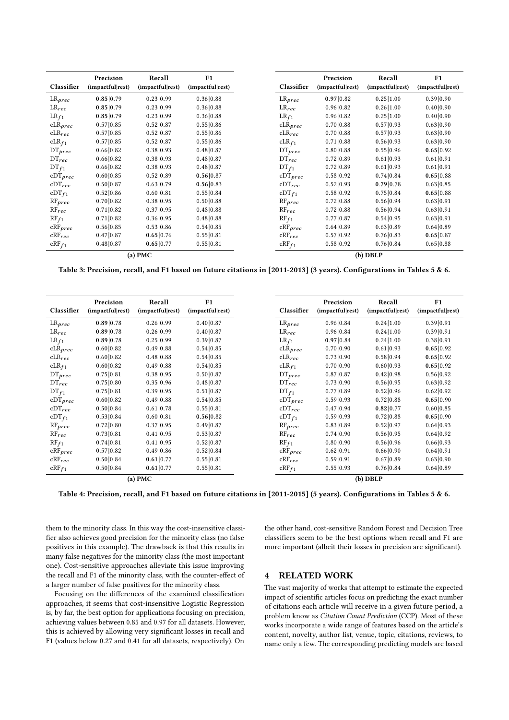<span id="page-3-1"></span>

|                       | Precision        | Recall           | F1               |
|-----------------------|------------------|------------------|------------------|
| Classifier            | (impactful rest) | (impactful rest) | (impactful rest) |
| $LR_{prec}$           | 0.85 0.79        | 0.23 0.99        | 0.36 0.88        |
| $LR_{rec}$            | 0.85 0.79        | 0.23 0.99        | 0.36 0.88        |
| $LR_{f1}$             | 0.85 0.79        | 0.23 0.99        | 0.36 0.88        |
| $CLR_{prec}$          | 0.57 0.85        | 0.52 0.87        | 0.55 0.86        |
| $cLR_{rec}$           | 0.57 0.85        | 0.52 0.87        | 0.55 0.86        |
| $CLR_{f1}$            | 0.57 0.85        | 0.52 0.87        | 0.55 0.86        |
| $DT_{prec}$           | 0.66 0.82        | 0.38 0.93        | 0.48 0.87        |
| $DT_{rec}$            | 0.66 0.82        | 0.38 0.93        | 0.48 0.87        |
| $DT_{f1}$             | 0.66 0.82        | 0.38 0.93        | 0.48 0.87        |
| $cDT_{prec}$          | 0.60 0.85        | 0.52 0.89        | 0.56 0.87        |
| $cDT_{rec}$           | 0.50 0.87        | 0.63 0.79        | 0.56 0.83        |
| $cDT_{f1}$            | 0.52 0.86        | 0.60 0.81        | 0.55 0.84        |
| $RF_{prec}$           | 0.70 0.82        | 0.38 0.95        | 0.50 0.88        |
| $RF_{rec}$            | 0.71 0.82        | 0.37 0.95        | 0.48 0.88        |
| $RF_{f1}$             | 0.71 0.82        | 0.36 0.95        | 0.48 0.88        |
| $\mathrm{cRF}_{prec}$ | 0.56 0.85        | 0.53 0.86        | 0.54 0.85        |
| $cRF_{rec}$           | 0.47 0.87        | 0.65 0.76        | 0.55 0.81        |
| $cRF_{f1}$            | 0.48 0.87        | 0.65 0.77        | 0.55 0.81        |
|                       |                  | $(a)$ PMC        |                  |

Table 3: Precision, recall, and F1 based on future citations in [2011-2013] (3 years). Configurations in Tables [5](#page-5-0) & [6.](#page-5-1)

<span id="page-3-2"></span>

| Classifier           | Precision<br>(impactful rest) | Recall<br>(impactful rest) | F1<br>(impactful rest) |
|----------------------|-------------------------------|----------------------------|------------------------|
| $LR_{prec}$          | 0.89 0.78                     | 0.26 0.99                  | 0.40 0.87              |
| $LR_{rec}$           | 0.89 0.78                     | 0.26 0.99                  | 0.40 0.87              |
|                      |                               | 0.25 0.99                  |                        |
| $LR_{f1}$            | 0.89 0.78                     |                            | 0.39 0.87              |
| $CLR_{prec}$         | 0.60 0.82                     | 0.49 0.88                  | 0.54 0.85              |
| $cLR_{rec}$          | 0.60 0.82                     | 0.48 0.88                  | 0.54 0.85              |
| $CLR_{f1}$           | 0.60 0.82                     | 0.49 0.88                  | 0.54 0.85              |
| $DT_{prec}$          | 0.75 0.81                     | 0.38 0.95                  | 0.50 0.87              |
| $DT_{rec}$           | 0.75 0.80                     | 0.35 0.96                  | 0.48 0.87              |
| $DT_{f1}$            | 0.75 0.81                     | 0.39 0.95                  | 0.51 0.87              |
| $cDT_{prec}$         | 0.60 0.82                     | 0.49 0.88                  | 0.54 0.85              |
| $\mathrm{cDT}_{rec}$ | 0.50 0.84                     | 0.61 0.78                  | 0.55 0.81              |
| $cDT_{f1}$           | 0.53 0.84                     | 0.60 0.81                  | 0.56 0.82              |
| $RF_{prec}$          | 0.72 0.80                     | 0.37 0.95                  | 0.49 0.87              |
| $RF_{rec}$           | 0.73 0.81                     | 0.41 0.95                  | 0.53 0.87              |
| $RF_{f1}$            | 0.74 0.81                     | 0.41 0.95                  | 0.52 0.87              |
| $CRF_{prec}$         | 0.57 0.82                     | 0.49 0.86                  | 0.52 0.84              |
| $cRF_{rec}$          | 0.50 0.84                     | 0.61 0.77                  | 0.55 0.81              |
| $cRF_{f1}$           | 0.50 0.84                     | 0.61 0.77                  | 0.55 0.81              |
|                      |                               | $(a)$ PMC                  |                        |

Table 4: Precision, recall, and F1 based on future citations in [2011-2015] (5 years). Configurations in Tables [5](#page-5-0) & [6.](#page-5-1)

them to the minority class. In this way the cost-insensitive classifier also achieves good precision for the minority class (no false positives in this example). The drawback is that this results in many false negatives for the minority class (the most important one). Cost-sensitive approaches alleviate this issue improving the recall and F1 of the minority class, with the counter-effect of a larger number of false positives for the minority class.

Focusing on the differences of the examined classification approaches, it seems that cost-insensitive Logistic Regression is, by far, the best option for applications focusing on precision, achieving values between 0.85 and 0.97 for all datasets. However, this is achieved by allowing very significant losses in recall and F1 (values below 0.27 and 0.41 for all datasets, respectively). On

the other hand, cost-sensitive Random Forest and Decision Tree classifiers seem to be the best options when recall and F1 are more important (albeit their losses in precision are significant).

## <span id="page-3-0"></span>4 RELATED WORK

The vast majority of works that attempt to estimate the expected impact of scientific articles focus on predicting the exact number of citations each article will receive in a given future period, a problem know as Citation Count Prediction (CCP). Most of these works incorporate a wide range of features based on the article's content, novelty, author list, venue, topic, citations, reviews, to name only a few. The corresponding predicting models are based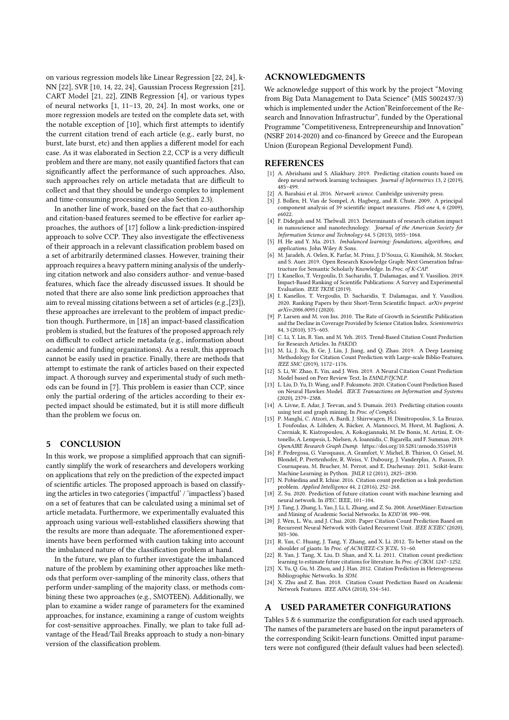on various regression models like Linear Regression [\[22,](#page-4-9) [24\]](#page-4-10), k-NN [\[22\]](#page-4-9), SVR [\[10,](#page-4-11) [14,](#page-4-12) [22,](#page-4-9) [24\]](#page-4-10), Gaussian Process Regression [\[21\]](#page-4-13), CART Model [\[21,](#page-4-13) [22\]](#page-4-9), ZINB Regression [\[4\]](#page-4-14), or various types of neural networks [\[1,](#page-4-15) [11–](#page-4-16)[13,](#page-4-17) [20,](#page-4-18) [24\]](#page-4-10). In most works, one or more regression models are tested on the complete data set, with the notable exception of [\[10\]](#page-4-11), which first attempts to identify the current citation trend of each article (e.g., early burst, no burst, late burst, etc) and then applies a different model for each case. As it was elaborated in Section [2.2,](#page-1-3) CCP is a very difficult problem and there are many, not easily quantified factors that can significantly affect the performance of such approaches. Also, such approaches rely on article metadata that are difficult to collect and that they should be undergo complex to implement and time-consuming processing (see also Section [2.3\)](#page-1-2).

In another line of work, based on the fact that co-authorship and citation-based features seemed to be effective for earlier approaches, the authors of [\[17\]](#page-4-19) follow a link-prediction-inspired approach to solve CCP. They also investigate the effectiveness of their approach in a relevant classification problem based on a set of arbitrarily determined classes. However, training their approach requires a heavy pattern mining analysis of the underlying citation network and also considers author- and venue-based features, which face the already discussed issues. It should be noted that there are also some link prediction approaches that aim to reveal missing citations between a set of articles (e.g.,[\[23\]](#page-4-20)), these approaches are irrelevant to the problem of impact prediction though. Furthermore, in [\[18\]](#page-4-1) an impact-based classification problem is studied, but the features of the proposed approach rely on difficult to collect article metadata (e.g., information about academic and funding organizations). As a result, this approach cannot be easily used in practice. Finally, there are methods that attempt to estimate the rank of articles based on their expected impact. A thorough survey and experimental study of such methods can be found in [\[7\]](#page-4-6). This problem is easier than CCP, since only the partial ordering of the articles according to their expected impact should be estimated, but it is still more difficult than the problem we focus on.

## 5 CONCLUSION

In this work, we propose a simplified approach that can significantly simplify the work of researchers and developers working on applications that rely on the prediction of the expected impact of scientific articles. The proposed approach is based on classifying the articles in two categories ('impactful' / 'impactless') based on a set of features that can be calculated using a minimal set of article metadata. Furthermore, we experimentally evaluated this approach using various well-established classifiers showing that the results are more than adequate. The aforementioned experiments have been performed with caution taking into account the imbalanced nature of the classification problem at hand.

In the future, we plan to further investigate the imbalanced nature of the problem by examining other approaches like methods that perform over-sampling of the minority class, others that perform under-sampling of the majority class, or methods combining these two approaches (e.g., SMOTEEN). Additionally, we plan to examine a wider range of parameters for the examined approaches, for instance, examining a range of custom weights for cost-sensitive approaches. Finally, we plan to take full advantage of the Head/Tail Breaks approach to study a non-binary version of the classification problem.

## ACKNOWLEDGMENTS

We acknowledge support of this work by the project "Moving from Big Data Management to Data Science" (MIS 5002437/3) which is implemented under the Action"Reinforcement of the Research and Innovation Infrastructur", funded by the Operational Programme "Competitiveness, Entrepreneurship and Innovation" (NSRF 2014-2020) and co-financed by Greece and the European Union (European Regional Development Fund).

### **REFERENCES**

- <span id="page-4-15"></span>[1] A. Abrishami and S. Aliakbary. 2019. Predicting citation counts based on deep neural network learning techniques. Journal of Informetrics 13, 2 (2019), 485–499.
- <span id="page-4-0"></span>A. Barabási et al. 2016. Network science. Cambridge university press.
- [3] J. Bollen, H. Van de Sompel, A. Hagberg, and R. Chute. 2009. A principal component analysis of 39 scientific impact measures. PloS one 4, 6 (2009), e6022.
- <span id="page-4-14"></span>[4] F. Didegah and M. Thelwall. 2013. Determinants of research citation impact in nanoscience and nanotechnology. Journal of the American Society for Information Science and Technology 64, 5 (2013), 1055–1064.
- <span id="page-4-7"></span>H. He and Y. Ma. 2013. Imbalanced learning: foundations, algorithms, and applications. John Wiley & Sons.
- <span id="page-4-2"></span>[6] M. Jaradeh, A. Oelen, K. Farfar, M. Prinz, J. D'Souza, G. Kismihók, M. Stocker, and S. Auer. 2019. Open Research Knowledge Graph: Next Generation Infrastructure for Semantic Scholarly Knowledge. In Proc. of K-CAP.
- <span id="page-4-6"></span>[7] I. Kanellos, T. Vergoulis, D. Sacharidis, T. Dalamagas, and Y. Vassiliou. 2019. Impact-Based Ranking of Scientific Publications: A Survey and Experimental Evaluation. IEEE TKDE (2019).
- <span id="page-4-4"></span>[8] I. Kanellos, T. Vergoulis, D. Sacharidis, T. Dalamagas, and Y. Vassiliou. 2020. Ranking Papers by their Short-Term Scientific Impact. arXiv preprint arXiv:2006.00951 (2020).
- P. Larsen and M. von Ins. 2010. The Rate of Growth in Scientific Publication and the Decline in Coverage Provided by Science Citation Index. Scientometrics 84, 3 (2010), 575–603.
- <span id="page-4-11"></span>[10] C. Li, Y. Lin, R. Yan, and M. Yeh. 2015. Trend-Based Citation Count Prediction for Research Articles. In PAKDD.
- <span id="page-4-16"></span>[11] M. Li, J. Xu, B. Ge, J. Liu, J. Jiang, and Q. Zhao. 2019. A Deep Learning Methodology for Citation Count Prediction with Large-scale Biblio-Features. IEEE SMC (2019), 1172–1176.
- [12] S. Li, W. Zhao, E. Yin, and J. Wen. 2019. A Neural Citation Count Prediction Model based on Peer Review Text. In EMNLP/IJCNLP.
- <span id="page-4-17"></span>[13] L. Liu, D. Yu, D. Wang, and F. Fukumoto. 2020. Citation Count Prediction Based on Neural Hawkes Model. IEICE Transactions on Information and Systems (2020), 2379–2388.
- <span id="page-4-12"></span>[14] A. Livne, E. Adar, J. Teevan, and S. Dumais. 2013. Predicting citation counts using text and graph mining. In Proc. of CompSci.
- <span id="page-4-3"></span>[15] P. Manghi, C. Atzori, A. Bardi, J. Shirrwagen, H. Dimitropoulos, S. La Bruzzo, I. Foufoulas, A. Löhden, A. Bäcker, A. Mannocci, M. Horst, M. Baglioni, A. Czerniak, K. Kiatropoulou, A. Kokogiannaki, M. De Bonis, M. Artini, E. Ottonello, A. Lempesis, L. Nielsen, A. Ioannidis, C. Bigarella, and F. Summan. 2019. OpenAIRE Research Graph Dump.<https://doi.org/10.5281/zenodo.3516918>
- <span id="page-4-8"></span>[16] F. Pedregosa, G. Varoquaux, A. Gramfort, V. Michel, B. Thirion, O. Grisel, M. Blondel, P. Prettenhofer, R. Weiss, V. Dubourg, J. Vanderplas, A. Passos, D. Cournapeau, M. Brucher, M. Perrot, and E. Duchesnay. 2011. Scikit-learn: Machine Learning in Python. JMLR 12 (2011), 2825–2830.
- <span id="page-4-19"></span>[17] N. Pobiedina and R. Ichise. 2016. Citation count prediction as a link prediction problem. Applied Intelligence 44, 2 (2016), 252–268.
- <span id="page-4-1"></span>[18] Z. Su. 2020. Prediction of future citation count with machine learning and neural network. In IPEC. IEEE, 101–104.
- <span id="page-4-5"></span>[19] J. Tang, J. Zhang, L. Yao, J. Li, L. Zhang, and Z. Su. 2008. ArnetMiner: Extraction and Mining of Academic Social Networks. In KDD'08. 990–998.
- <span id="page-4-18"></span>[20] J. Wen, L. Wu, and J. Chai. 2020. Paper Citation Count Prediction Based on Recurrent Neural Network with Gated Recurrent Unit. IEEE ICEIEC (2020), 303–306.
- <span id="page-4-13"></span>[21] R. Yan, C. Huang, J. Tang, Y. Zhang, and X. Li. 2012. To better stand on the shoulder of giants. In Proc. of ACM/IEEE-CS JCDL. 51–60.
- <span id="page-4-9"></span>[22] R. Yan, J. Tang, X. Liu, D. Shan, and X. Li. 2011. Citation count prediction: learning to estimate future citations for literature. In Proc. of CIKM. 1247–1252.
- <span id="page-4-20"></span>[23] X. Yu, O. Gu, M. Zhou, and J. Han. 2012. Citation Prediction in Heterogeneous Bibliographic Networks. In SDM.
- <span id="page-4-10"></span>[24] X. Zhu and Z. Ban. 2018. Citation Count Prediction Based on Academic Network Features. IEEE AINA (2018), 534–541.

#### A USED PARAMETER CONFIGURATIONS

Tables [5](#page-5-0) & [6](#page-5-1) summarize the configuration for each used approach. The names of the parameters are based on the input parameters of the corresponding Scikit-learn functions. Omitted input parameters were not configured (their default values had been selected).